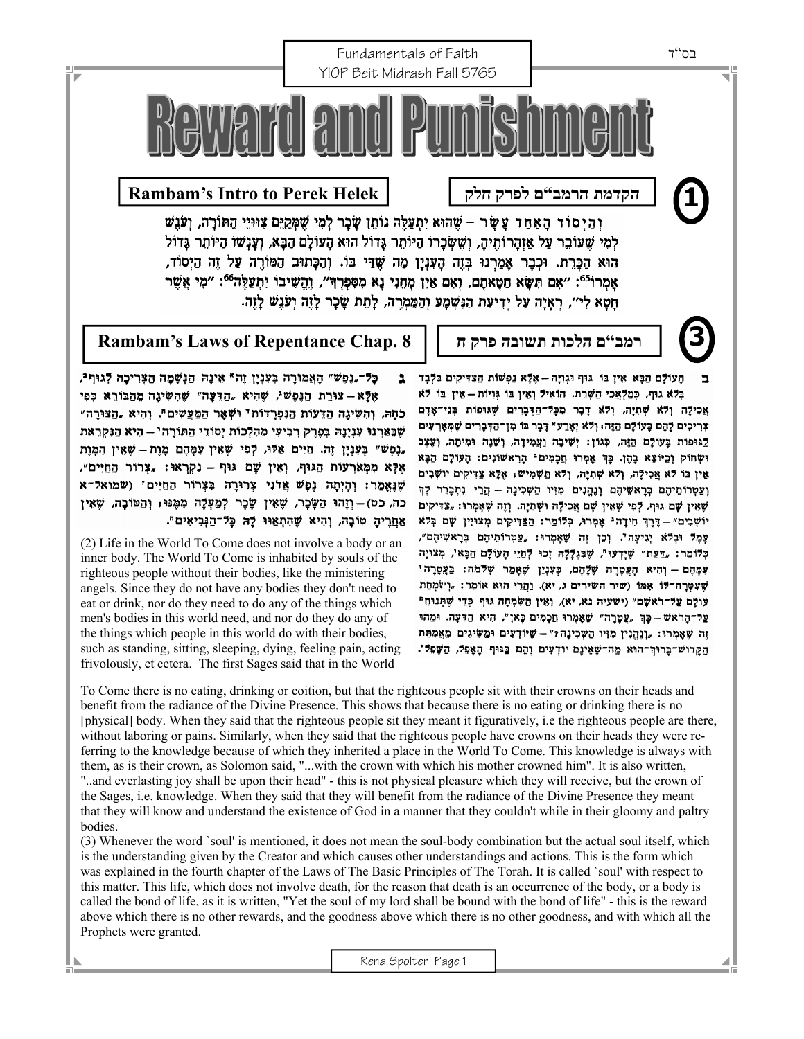

בְּלֹא גוּף, כִּמַלְאֲכִי הַשָּׁרֵת. הוֹאִיל וְאָין בּוֹ גְּוְיוֹת – אֵין בּוֹ לֹא אֲכִילָה וְלֹא שְׁתִיָה, וְלֹא דָבָר מִכְּל־הַדְּבָרִים שָׁגוּפוֹת בְּנֵי־אָדָם ¥ְרִיכִים לָהֶם בָּעוֹלָם הַזֶּה; וְלֹא יְאָרַע" דָּבָר בּוֹ מִן־הַדְּבָרִים שֶׁמְּאָרְ**עִי**ם לֵגוּפוֹת בָּעוֹלָם הַזֶּה, כְּגוֹן: יְשִׁיבָה וַעֲמִידָה, וְשֵׁנָה וּמִיתָה, וְעֶצֶב וּשְׁחוֹק וְכֵיוֹצֵא בָהֶן. כַּךְ אָמְרוּ חֲכָמִים<sup>ֵנ</sup> הָרְאשׁוֹנִים: הָעוֹלָם הַבָּא אָין בּוֹ לֹא אֲכִילָה, וְלֹא שְׁתִיָּה, וְלֹא תַּשְׁמִישׁ: אָלָא צַדִּיקִים יוֹשְׁבִים וַצַטְרוֹתֵיהֶם בְּרָאשִׁיהֶם וְנֶהֱנִים מִיִּיו הַשְּׁכִינָה - הֲרֵי נִתְבָּרֵר לְךָ שָׁאִין שָׁם גּוּף, לְפִי שָׁאִין שָׁם אֲכִילָה וּשְׁתִיָה. וְזֶה שֶׁאָמְרוּ: "צַדִּיקִים יוֹשָׁבִים" - דֵּרֵךְ חִידָה ' אָמְרוּ, כִּלוֹמֵר: הַצַּדִּיקִים מְצוּיִין שָׁם בְּלֹא עָמֶל וּבְלֹא יְגִיעָה'. וְכֵן זֶה שֶׁאָמְרוּ: "עַטְרוֹתֵיהֶם בְּרָאשִׁיהֶם", כְּלוֹמַר: "דַעֲת" שֶׁיָדְעוּ", שֶׁבִּגְלָלָהּ זָכוּ לְחַיֵּי הָעוֹלָם הַבָּא', מְצוּיָה עִמְהָם – וְהִיא הָעֲטָרָה שָׁלָּהֶם, כְּעָנְיַן שָׁאָמֵר שְׁלֹּמֹה: בַּעֲטָרָה' שָׁעִטְרָה־לּוֹ אָמּוֹ (שיר השירים ג, יא). וַהֲרֵי הוּא אוֹמֵר: "וְיוֹקְחַת עוֹלָם עַל־וֹאשָם" (ישעיה נא, יא), וְאֵין הַשִּׂמְחָה גּוּף כְּדֵי שֶׁתְּנוּהַ" עַל־הָרֹאשׁ – כָּךְ "עֲטָרָה" שֶׁאָמְרוּ חֲכָמִים כָּאן", הִיא הַדֵּעָה. וּמֵהוּ זֵה שָׁאָמְרוּ: "וְנְהֵנִין מִזִיו הַשָּׁכִינָה ?" - שֶׁיוֹדְעִים וּמֲשִׂיגִים מֵאֲמְתַּת הַקָּדוֹשׁ־בָּרוּהְ־הוּא מַה־שֶׁאֵינָם יוֹדְעִים וְהֵם בַּגּוּף הָאָפִלּ, הַשָּׁפִלּ'.

אָלָא – צוּרַת הַגָּפָשׁיֹ, שָׁהִיא "הַדֵּעָה" שָׁהִשִּׂיגָה מַהַבּוֹרֵא כְפִי כֹּחָהּ, וְהִשְׂיגָה הַדֵּעוֹת הַנִּפְרַדוֹת' וּשְׁאָר הַמֲעֲשִׂים". וְהִיא "הַצּוּרָה" שְׁבָאַרְנוּ עִנְיָנָהּ בְּפֶרֶק רְבִיעִי מֵהִלְכוֹת יְסוֹדֵי הַתּוֹרָה' - הִיא הַנִּקְרֵאת "גִּפְשׁ" בִּעָּנָיָן זֶה. חַיִּיִם אֵלּוּ, לִפִּי שָׁאֵין עִמֶּהֶם מַוֶת – שָׁאֵין הַמַּוֵת אָלָא מִמְאֹרְעוֹת הַגוּף, וְאָין שָׁם גּוּף – נִקְרְאוּ: "צְרוֹר הַחַיִּים", שַׁנָאֲמֵר: וְהַיִתָה נִסָשׁ אֲדֹנִי צְרוּרָה בְּצְרוֹר הַחַיִּים' (שמואל־א כה, כט)–וְזֶהוּ הַשָּׂכָר, שֶׁאֵין שָׂכָר לְמַעְלָה מִמֶּנוּ, וְהַטּוֹבָה, שֶׁאֵין אַחֲרֶיהָ טוֹבָה, וְהִיא שֶׁהַתְאַוּוּ לָהּ כָּל־הַגְּבִיאִים".

(2) Life in the World To Come does not involve a body or an inner body. The World To Come is inhabited by souls of the righteous people without their bodies, like the ministering angels. Since they do not have any bodies they don't need to eat or drink, nor do they need to do any of the things which men's bodies in this world need, and nor do they do any of the things which people in this world do with their bodies, such as standing, sitting, sleeping, dying, feeling pain, acting frivolously, et cetera. The first Sages said that in the World

To Come there is no eating, drinking or coition, but that the righteous people sit with their crowns on their heads and benefit from the radiance of the Divine Presence. This shows that because there is no eating or drinking there is no [physical] body. When they said that the righteous people sit they meant it figuratively, i.e the righteous people are there, without laboring or pains. Similarly, when they said that the righteous people have crowns on their heads they were referring to the knowledge because of which they inherited a place in the World To Come. This knowledge is always with them, as is their crown, as Solomon said, "...with the crown with which his mother crowned him". It is also written, "..and everlasting joy shall be upon their head" - this is not physical pleasure which they will receive, but the crown of the Sages, i.e. knowledge. When they said that they will benefit from the radiance of the Divine Presence they meant that they will know and understand the existence of God in a manner that they couldn't while in their gloomy and paltry bodies.

(3) Whenever the word `soul' is mentioned, it does not mean the soul-body combination but the actual soul itself, which is the understanding given by the Creator and which causes other understandings and actions. This is the form which was explained in the fourth chapter of the Laws of The Basic Principles of The Torah. It is called `soul' with respect to this matter. This life, which does not involve death, for the reason that death is an occurrence of the body, or a body is called the bond of life, as it is written, "Yet the soul of my lord shall be bound with the bond of life" - this is the reward above which there is no other rewards, and the goodness above which there is no other goodness, and with which all the Prophets were granted.

Rena Spolter Page 1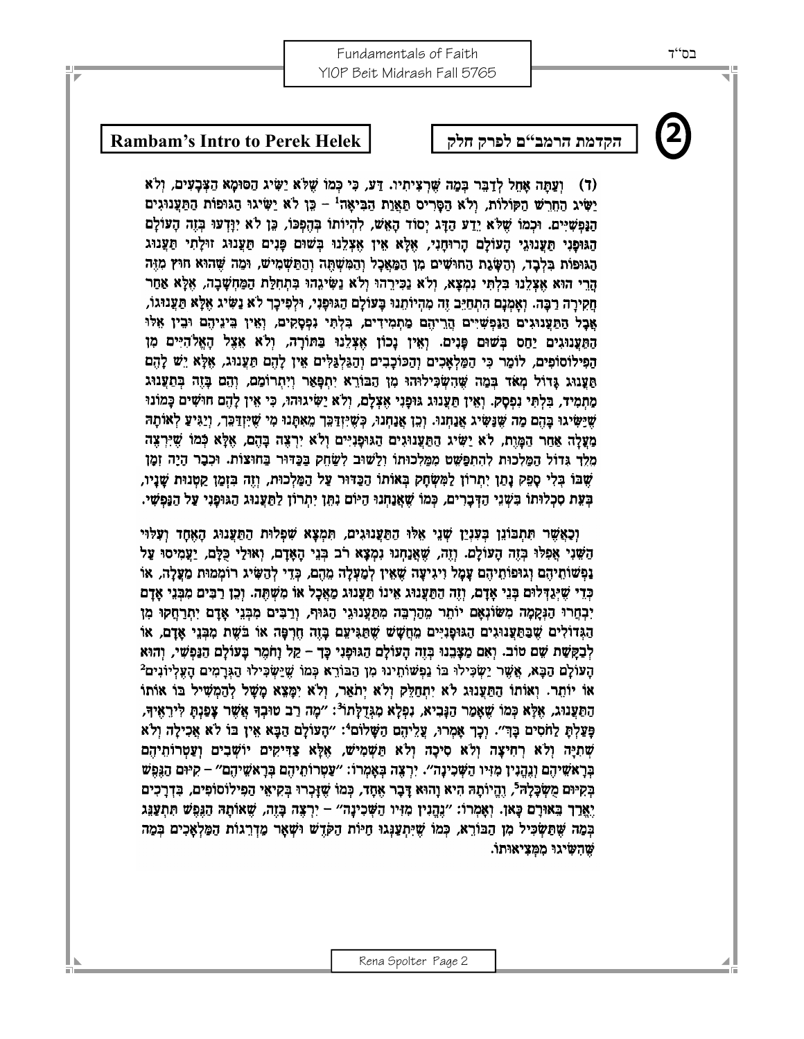## **2 Rambam's Intro to Perek Helek חלק לפרק <sup>ם</sup>"הרמב הקדמת**

(ד) ועתה אחל לדבר במה שרציתיו. דע, כי כמו שלא ישיג הסומא הצבעים, ולא ישיג החרש הקולות, ולא הסריס תאות הביאה<sup>ו</sup> - כֵּוְ לֹא יַשִּׂיגוּ הַגּוּפוֹת הַתַּעֲנוּגִים הַנְפֹּשִׁיִּים. וּכְמוֹ שָׁלֹא יָדַע הַדָּג יִסוֹד הָאָשׁ, לְהִיוֹתוֹ בְּהֶפְכּוֹ, כֵּן לֹא יְרָדְעוּ בְזֵה הָעוֹלָם הגוּפָנִי תַּעֲנוּגֵי הַעוֹלֵם הַרוּחַנִי, אָלֵא אִין אִצְלֵנוּ בִשׁוּם פָּנִים תַּעֲנוּג זוּלָתִי תַּעֲנוּג הַגּוּפוֹת בְּלְבָד, וְהַשָּׂגֶת הַחוּשִׁים מִן הַמַּאֲכָל וְהַמִּשְׁחֲָה וְהַחַּשְׁמִישׁ, וּמַה שֶׁהוּא חוּץ מְזֶה הרי הוא אצלנו בלתי נמצא, ולא נכירהו ולא נשיגהו בתחלת המחשבה, אלא אחר חַקִירַה רַבָּה. וְאָמְנָם הִתְחַיֵּב זֵה מְהִיוֹתֶנוּ בָּעוֹלָם הַגּוּפָנִי, וּלְפִיכָך לֹא נַשִּׂיג אֶלָא תַּעֲנוּגוֹ, אַבַל הַתַּעֲנוּגִים הַנַּפְשִׁיִּים הֲרֵיהֶם מַתִמְידִים, בִּלְתִּי נִפְסָקִים, וְאִין בִּינֵיהֶם וּבִין אִלּוּ התענוגים יַחַס בּשׁוּם פּנים. ואין נכוֹן אִצְלֵנוּ בַּתּוֹרָה, ולֹא אָצָל הַאֱלֹהִיִּים מִן הַפִּילוֹסוֹפִים, לוֹמֵר כִּי הַמַּלְאָכִים וְהַכּוֹכָבִים וְהַגַּלְגַּלִּים אִין לָהָם תַּעֲנוּג, אִלָּא יֵשׁ לָהָם תַּעֲנַוּג גָּדוֹל מָאֹד בְּמֵה שֶׁהִשְׂכִּילוּהוּ מִן הַבּוֹרֵא יְתִפְּאַר וְיִתְרוֹמֵם, וְהֶם בָּזֶה בְּתַעֲנוּג מַתְמִיד, בִּלְתִּי נִפְסָק. וְאֵין תַּעֲנוּג גּוּפָנִי אָצְלַם, וְלֹא יַשִּׂיגוּהוּ, כִּי אִין לָהֶם חוּשִׁים כָּמוֹנוּ שֶׁיַּשִּׂיגוּ בָּהֶם מַה שֶׁנָּשִׂיג אֲנַחְנוּ. וְכֵן אֲנַחְנוּ, כִּשִׁיִּזְדַּכֵּךְ מֵאִתָּנוּ מִי שִׁיִּזְדַכֵּךְ, וְיַגִּיעַ לְאוֹתָה מַעֲלָה אֲחַר הַמֵּוֶת, לֹא יַשִּׂיג הַתַּעֲנוּגִים הַגוּפָנִיִּים וְלֹא יִרְצָה בָּהֶם, אֲלָא כְּמוֹ שִׁיִּרְצָה מלך גדול המלכות להתפשט ממלכותו ולשוב לשחק בכדור בחוצות. וכבר היה זמן שֶׁבּוֹ בְּלִי סַפָּק נָתַן יְתְרוֹן לַמְּשָׂחָק בְּאוֹתוֹ הַכָּדּוּר עַל הַמֵּלְכוּת, וְזֶה בִּזְמֵן קַטְנוּת שָׁנָיו, בִּעָת סְכְלוּתוֹ בִּשְׁנֵי הַדְּבָרִים, כִּמוֹ שָׁאֲנַחְנוּ הַיּוֹם נִתְּן יִתְרוֹן לַתֲעֲנוּג הַגּוּפַנִי עַל הַנַּפִּשִׁי.

וְכָאֲשֶׁר תִּתְבוֹנֵן בִּעְנָיַן שָׁנֵי אֲלוּ הַמַּעֲנוּגִים, תִּמְצָא שִׁפְלוּת הַמַּעֲנוּג הָאָחָד וְעָלוּי הַשֵּׁנִי אֲפִלּוּ בְּזֶה הָעוֹלָם. וְזֶה, שָׁאֲנָחְנוּ נִמְצָא רֹב בְּנֵי הָאָדָם, וְאוּלֵי כַּלָּם, יַעֲמִיסוּ עַל ַנְפִשּׁוֹתֻיהָם וְגוּפוֹתֵיהָם עָמָל וְיגִיעָה שָׁאֵין לְמַעָּלָה מֶהָם, כְּדֵי לְהַשִּׂיג רוֹמְמוּת מֵעֲלָה, או כְּדֵי שֶׁיְגַדְּלוּם בְּנֵי אַדָם, וְזָה הַתַּעֲנוּג אִינוֹ תַּעֲנוּג מַאֲכָל אוֹ מִשְׁתְּה. וְכֵן רַבִּים מִבְּנֵי אֲדָם יִבְחֵרוּ הַנִּקַמָּה מִשׂוֹנָאָם יוֹתֵר מֵהַרְבֵּה מִתַּעֲנוּגֵי הַגּוּף, וְרַבִּים מִבְּנֵי אֲדָם יְתִרְחֲקוּ מִן הַגְּדוֹלִים שֶׁבַּחַעֲנוּגִים הַגוּפָנִיִּים מֵחֲשָׁשׁ שֶׁחַגִּיעֵם בָּזֶה חֶרְפָּה אוֹ בֹּשֶׁת מִבְּנֵי אָדָם, אוֹ לְבַקָּשַׁת שֶׁם טוֹב. וְאִם מַצָּבְנוּ בְּזֶה הָעוֹלָם הָגּוּפָנִי כָּךָ – קַל וַחֹמֶר בָּעוֹלָם הַנַּפְשִׁי, וְהוּא הָעוֹלָם הַבָּא, אֲשֶׁר יַשְׂכִּילוּ בּוֹ נַפְשׁוֹתִינוּ מִן הַבּוֹרֵא כְּמוֹ שֵׁיַשְׂכִּילוּ הַגְּרָמִים הָעֵלְיוֹנִים<sup>2</sup> אוֹ יוֹתֵר. וְאוֹתוֹ הַתַּעֲנוּג לֹא יִתְחַלֵּק וְלֹא יְתֹאֲר, וְלֹא יִמָּצָא מָשָׁל לְהַמִשִׁיל בּוֹ אוֹתוֹ הַחַעֲנוּג, אָלָא כְּמוֹ שָׁאֲמֵר הַנָּבִיא, נִפְלָא מְגִדְלַתוֹ<sup>3</sup>: ״מָה רַב טוּבְךָ אֲשֶׁר צָפַנְהָ לִירֵאִיךָ, פּעַלתּ לַחֹסים בַּדְ". וכך אַמרוּ, עַלִיהֵם הַשָּׁלוֹם בִּי "הַעוֹלָם הַבָּא אִין בּוֹ לֹא אָכִילָה וְלֹא שְׁתְיָה וְלֹא רְחִיצָה וְלֹא סִיכָה וְלֹא תַּשְׁמִישׁ, אֲלָא צַדִּיקִים יוֹשָׁבִים וְעַטְרוֹתֻיהָם בְּרָאשִׁיהָם וְגָהֲנִין מִזִּיוּ הַשָּׁכִינָה״. יִרְצְה בְּאָמְרוֹ: ״עַטְרוֹתֻיהָם בְּרָאשֵׁיהָם״ – קִיּוּם הַגְּפִשׁ בְּקִיּוּם מְשִׂכָּלָה<sup>ְד</sup>ּ, וְהֵיוֹתָהּ הִיא וַהוּא דָּבָר אָחָד, כִּמוֹ שֶׁזַּכְרוּ בְּקִיאִי הַפִּילוֹסוֹפִים, בְּדְרַכִּים יִאֲרַךְ בָּאוּרָם כָּאן. וְאָמְרוֹ: "וְהֵנִין מִזִּיו הַשְּׁכִינָה" - יִרְצֶה בָּזֶה, שָׁאוֹתָהּ הַגַּפֵשׁ תִּתְעַנֵּג בִּמָּה שֶׁתַּשְׂכִּיל מִן הַבּוֹרֵא, כְּמוֹ שֵׁיִּתְעָנְגוּ חַיּוֹת הַקַּדָשׁ וּשָׁאַר מַדְרֵגוֹת הַמַּלְאֲכִים בְּמַה שהשיגו ממציאותו.

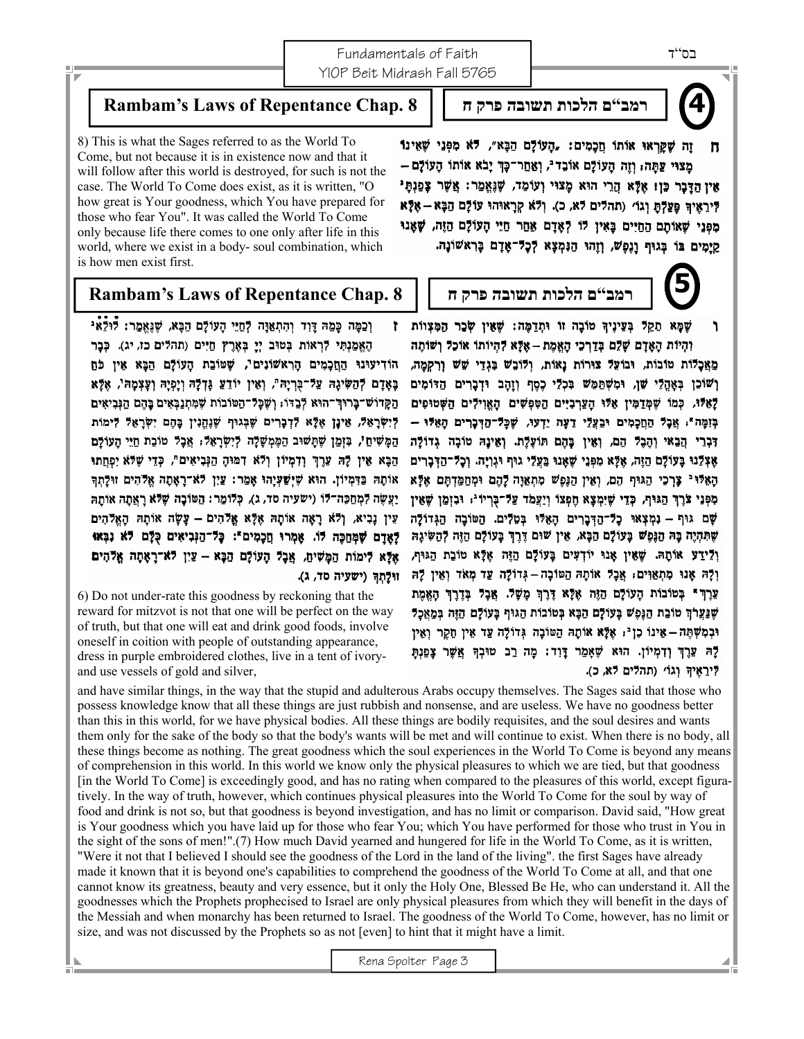Fundamentals of Faith YIOP Beit Midrash Fall 5765

**רמב"ם הלכות תשובה פרק ח 8 .Chap Repentance of Laws s'Rambam**

8) This is what the Sages referred to as the World To Come, but not because it is in existence now and that it will follow after this world is destroyed, for such is not the case. The World To Come does exist, as it is written, "O how great is Your goodness, which You have prepared for those who fear You". It was called the World To Come only because life there comes to one only after life in this world, where we exist in a body- soul combination, which is how men exist first.

## **רמב"ם הלכות תשובה פרק ח 8 .Chap Repentance of Laws s'Rambam**

וְכַמָּה כָּמַהּ דָּוִד וְהִתְאַנָּה לְחַיֵּי הָעוֹלָם הַבָּא, שָׁנְאֱמַר: לִּוּלֵאִי r. הָאֱמַנְתִּי דְּרְאוֹת בְּטוּב יְיָ בְּאֶרֶץ חַיִּים (תהדים כז, יג). כְּבָר הוֹדִיעוּנוּ הַחֲכָמִים הָרְאֹשׁוֹנִים", שָׁטּוֹבַת הָעוֹלָם הַבָּא אֵין כֹּחַ בָּאָרָם לְהַשִּׂיְנָהּ עַל־בְרִיָה", וְאֵין יוֹדֵעַ גָּדְלָהּ וְיָפְיָהּ וְעָצְמָהּ', אָלָּא הַקְרוֹשׁ־בָּרוּךְ־הוּא לְבַדּוֹ, וְשֶׁכָּל־הַטּוֹבוֹת שָׁמְתְנַבְאִים בָּהֶם הַגִּבִיאִים דִישׂרַאַל, אֵינָן אָלָא לִדְבָרִים שַׁבְגוּף שַׁנְהֵנִין בָּהֶם יִשְׂרַאָל לִימוֹת הַמָּשִׁיחַ', בּוְמַן שֶׁתָּשׁוּב הַמֶּמְשָׁלָה לְיִשְׂרָאֵלּ; אֲבָל טוֹבֵת חַיֵּי הָעוֹלָם הַבָּא אָין לַהּ עָרֵךְ וִדְמְיוֹן וְלֹא דְמּוּהָ הַגְּבִיאִים", כְּדֵי שָׁלֹּא יִפְחֵתוּ אותה בַּדְמִיוֹן. הוּא שֶׁיִשַׁעָיָהוּ אָמֵר: עֵיִן לֹא־רָאָתָה אֱלֹהִים זוּלַתְךָ יַעֲשֶׂה לִמְחַכָּה־דוֹ (ישׁעִיה סד, ג), כְּדוֹמֵר: הַטּוֹבָה שָׁלֹּא רָאֲתָה אוֹתַהּ עֵין נַבְיא, וְלֹא רַאָה אוֹתָהּ אָלַא אֱלֹהִים – עֲשָׂה אוֹתַהּ הָאֱלֹהִים ?ַאֲדָם שָׁמְחַכָּה לּוֹ. אָמְרוּ חֲכָמִים": כָּל־הַנְּבִיאִים כְּלָּם לֹא נִבְאוּ אָלָא לימות הַמָּשִׁיהַ, אֲבָל הָעוֹלָם הַבָּא – עַיִן לֹא־רָאָתָה אֱלֹהִים וּוּלַתְךְ (ישעיה סד, ג).

6) Do not under-rate this goodness by reckoning that the reward for mitzvot is not that one will be perfect on the way of truth, but that one will eat and drink good foods, involve oneself in coition with people of outstanding appearance, dress in purple embroidered clothes, live in a tent of ivoryand use vessels of gold and silver,

and have similar things, in the way that the stupid and adulterous Arabs occupy themselves. The Sages said that those who possess knowledge know that all these things are just rubbish and nonsense, and are useless. We have no goodness better than this in this world, for we have physical bodies. All these things are bodily requisites, and the soul desires and wants them only for the sake of the body so that the body's wants will be met and will continue to exist. When there is no body, all these things become as nothing. The great goodness which the soul experiences in the World To Come is beyond any means of comprehension in this world. In this world we know only the physical pleasures to which we are tied, but that goodness [in the World To Come] is exceedingly good, and has no rating when compared to the pleasures of this world, except figuratively. In the way of truth, however, which continues physical pleasures into the World To Come for the soul by way of food and drink is not so, but that goodness is beyond investigation, and has no limit or comparison. David said, "How great is Your goodness which you have laid up for those who fear You; which You have performed for those who trust in You in the sight of the sons of men!".(7) How much David yearned and hungered for life in the World To Come, as it is written, "Were it not that I believed I should see the goodness of the Lord in the land of the living". the first Sages have already made it known that it is beyond one's capabilities to comprehend the goodness of the World To Come at all, and that one cannot know its greatness, beauty and very essence, but it only the Holy One, Blessed Be He, who can understand it. All the goodnesses which the Prophets prophecised to Israel are only physical pleasures from which they will benefit in the days of the Messiah and when monarchy has been returned to Israel. The goodness of the World To Come, however, has no limit or

Rena Spolter Page 3

size, and was not discussed by the Prophets so as not [even] to hint that it might have a limit.

זָה שָׁקַרְאוּ אוֹתוֹ חֲכָמִים: "הַעוֹלָם הַבָּא", לֹא מִפְּנֵי שָׁאִינוֹ  $\mathbf{a}$ מֲצוּי עַתֲּה; וְזֵה הָעוֹלָם אוֹבֶד<sup>נ</sup>, וְאַחֲר־כָּךְ יָבֹא אוֹתוֹ הָעוֹלָם – אָין הַדַּבָר כֵּוְי אָלָא הַרֵי הוּא מָצוּי וְעוֹמֵד, שָׁנְאֲמֵר: אֲשֶׁר צָפַנְתָּי לִּיְרָאֵיךְ פַּעֲלְתָּ וְגוֹ׳ (תהלים לא, כ). וְלֹא קְרָאוּהוּ עוֹלָם הַבָּא – אֶלָּא מִפְּנֵי שָׁאוֹתָם הַחַיִּים בַּאִין לוֹ לְאָדָם אַחַר חַיֵּי הָעוֹלָם הַזֶּה, שָׁאָנוּ קַיַמִים בּוֹ בְּגוּף וַנֶפְשׁ, וְזֶהוּ הַנִּמְצָא לְכָל־אָדָם בָּרְאֹשׁוֹנָה.

שָׁמָא תַקַל בְּעֵינֵיךְ טוֹבָה זוֹ וּתְדַמֵּה: שָׁאָין שָׂכָר הַמְּצְווֹת ٦ וְהְיוֹת הָאָדָם שָׁלֵם בְּדַרְכִי הָאֲמֶת – אֶלָּא לְהִיוֹתוֹ אוֹכֶל וְשׁוֹתֶה מַאֲכָלוֹת טוֹבוֹת, וּבוֹעֵל צוּרוֹת נָאוֹת, וְלוֹבָשׁ בִּגְדֵי שָׁשׁ וְרָקְמָה, וְשׁוֹכֶן בְּאָהֶלֵי שָׁן, וּמְשְׁתַּמֶּשׁ בִּכְלֵי כֵסֵף וְזָהֶב וּדְבָרִים הַדוֹמִים לָאֵיּּוֹ, כְמוֹ שֶׁמְדַמִּין אֵיּוּ הָעֲרְבִיִּים הַטִּפְשִׁים הָאֱוִילִים הַשְּׁטוּפִים בּוְמָה"; אֲכָל הַחֲכָמִים וּבַעֲלֵי דָעָה יֵדְעוּ, שָׁכַּל־הַדְּכָרִים הַאֵלּוּ – דִּבְרֵי הַבַאי וְהָבָל הֵם, וְאֵין כָּהֶם תּוֹעֲלֶת. וְאֵינָהּ טוֹבָה גָדוֹלַּה אָצְלֵנוּ בָּעוֹלָם הַזֶּה, אֶלָּא מִפְּנֵי שָׁאָנוּ בַּעֲלֵי גוּף וּגְוָיָה. וְכָל־הַדְּבָרִים הַאֲלּוּ - צָרְכִי הַגּוּף הָם, וְאִין הַגַּפָשׁ מְתְאַוָּה לַהָם וּמְחַמַּדְהַם אָלַּא מִפְּנֵי צֹרֶךְ הַגּוּף, כְּדֵי שֶׁיִמְצָא חֶפְצוֹ וְיַצֵּמֹד עַל־כְּרִיוּ'; וּבְזְמֵן שָׁאֵין שָׁם גוּף – נִמְצְאוּ כָל־הַדְּבָרִים הָאֵלּוּ בְּטֵלְים. הַטּוֹבָה הַגְּדוֹלָה שְׁתִּהְיֶה בָּהּ הַנֶּמֶשׁ בָּעוֹלָם הַבָּא, אֵין שוּם דֶּרֶךְ בָּעוֹלָם הַזֶּה לְהַשִּׂיגָה וְלֵידַע אוֹתָהּ. שָׁאֵין אָנוּ יוֹדְעִים בָּעוֹלָם הַזֶּה אָלָא טוֹבַת הַגּוּף, וְלָה אָנוּ מְתְאַוִּים: אֲכָל אוֹתָה הַטּוֹכָה – גְדוֹלָה עַד מְאֹד וְאֵין לַה עְרֶךְ \* בְּטוֹבוֹת הָעוֹלָם הַזֶּה אֶלָּא דֶּרֶךְ מָשָׁל. אֲבָל בְּדֶרֶךְ הָאֲמֶת שַׁנַעֲרֹךְ טוֹבַת הַגָּפִשׁ בָּעוֹלָם הַבָּא בְּטוֹבוֹת הַגּוּף בָּעוֹלָם הַזֶּה בִּמֲאֵכָל וּבְמִשְׁתֶּה – אֵינוֹ כֵן יּ, אֶלָּא אוֹתָהּ הַטּוֹבָה גְּדוֹלָה עַד אִין חֵקֶר וְאֵין לַהּ עֵרֶךְ וְדְמְיוֹן. הוּא שֶׁאָמַר דַּוְד: מַה רַב טוּבְךָ אֲשָר צָפַנְתַּ לִּירֵאֶיךָ וְגוֹ׳ (תהלים לא, כ).

בס"ד

**5** 

**4**